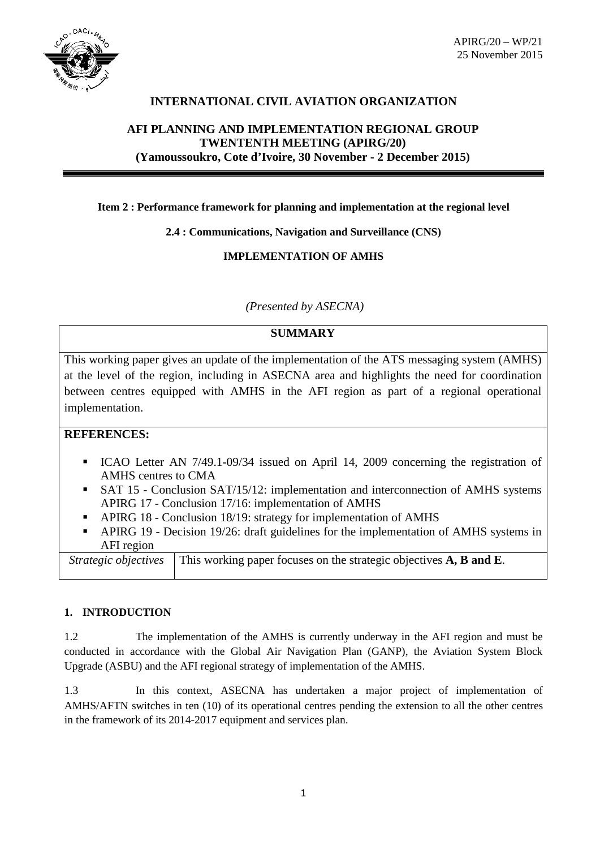

# **INTERNATIONAL CIVIL AVIATION ORGANIZATION**

# **AFI PLANNING AND IMPLEMENTATION REGIONAL GROUP TWENTENTH MEETING (APIRG/20) (Yamoussoukro, Cote d'Ivoire, 30 November - 2 December 2015)**

## **Item 2 : Performance framework for planning and implementation at the regional level**

**2.4 : Communications, Navigation and Surveillance (CNS)**

## **IMPLEMENTATION OF AMHS**

*(Presented by ASECNA)*

## **SUMMARY**

This working paper gives an update of the implementation of the ATS messaging system (AMHS) at the level of the region, including in ASECNA area and highlights the need for coordination between centres equipped with AMHS in the AFI region as part of a regional operational implementation.

## **REFERENCES:**

- ICAO Letter AN 7/49.1-09/34 issued on April 14, 2009 concerning the registration of AMHS centres to CMA
- SAT 15 Conclusion SAT/15/12: implementation and interconnection of AMHS systems APIRG 17 - Conclusion 17/16: implementation of AMHS
- APIRG 18 Conclusion 18/19: strategy for implementation of AMHS
- APIRG 19 Decision 19/26: draft guidelines for the implementation of AMHS systems in AFI region

| <i>Strategic objectives</i>   This working paper focuses on the strategic objectives <b>A, B and E</b> . |
|----------------------------------------------------------------------------------------------------------|
|                                                                                                          |

## **1. INTRODUCTION**

1.2 The implementation of the AMHS is currently underway in the AFI region and must be conducted in accordance with the Global Air Navigation Plan (GANP), the Aviation System Block Upgrade (ASBU) and the AFI regional strategy of implementation of the AMHS.

1.3 In this context, ASECNA has undertaken a major project of implementation of AMHS/AFTN switches in ten (10) of its operational centres pending the extension to all the other centres in the framework of its 2014-2017 equipment and services plan.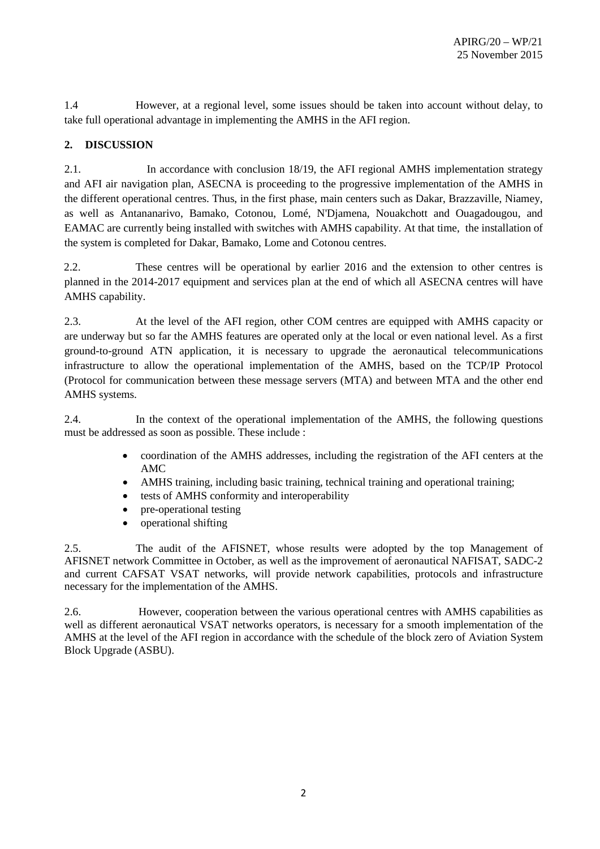1.4 However, at a regional level, some issues should be taken into account without delay, to take full operational advantage in implementing the AMHS in the AFI region.

## **2. DISCUSSION**

2.1. In accordance with conclusion 18/19, the AFI regional AMHS implementation strategy and AFI air navigation plan, ASECNA is proceeding to the progressive implementation of the AMHS in the different operational centres. Thus, in the first phase, main centers such as Dakar, Brazzaville, Niamey, as well as Antananarivo, Bamako, Cotonou, Lomé, N'Djamena, Nouakchott and Ouagadougou, and EAMAC are currently being installed with switches with AMHS capability. At that time, the installation of the system is completed for Dakar, Bamako, Lome and Cotonou centres.

2.2. These centres will be operational by earlier 2016 and the extension to other centres is planned in the 2014-2017 equipment and services plan at the end of which all ASECNA centres will have AMHS capability.

2.3. At the level of the AFI region, other COM centres are equipped with AMHS capacity or are underway but so far the AMHS features are operated only at the local or even national level. As a first ground-to-ground ATN application, it is necessary to upgrade the aeronautical telecommunications infrastructure to allow the operational implementation of the AMHS, based on the TCP/IP Protocol (Protocol for communication between these message servers (MTA) and between MTA and the other end AMHS systems.

2.4. In the context of the operational implementation of the AMHS, the following questions must be addressed as soon as possible. These include :

- coordination of the AMHS addresses, including the registration of the AFI centers at the AMC
- AMHS training, including basic training, technical training and operational training;
- tests of AMHS conformity and interoperability
- pre-operational testing
- operational shifting

2.5. The audit of the AFISNET, whose results were adopted by the top Management of AFISNET network Committee in October, as well as the improvement of aeronautical NAFISAT, SADC-2 and current CAFSAT VSAT networks, will provide network capabilities, protocols and infrastructure necessary for the implementation of the AMHS.

2.6. However, cooperation between the various operational centres with AMHS capabilities as well as different aeronautical VSAT networks operators, is necessary for a smooth implementation of the AMHS at the level of the AFI region in accordance with the schedule of the block zero of Aviation System Block Upgrade (ASBU).